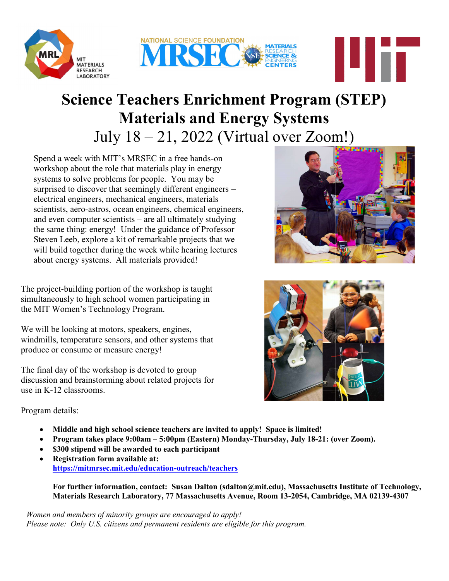



## **Science Teachers Enrichment Program (STEP)**<br>Materials and Energy Systems Materials and Energy Systems July  $18 - 21$ ,  $2022$  (Virtual over Zoom!)

Spend a week with MIT's MRSEC in a free hands-on workshop about the role that materials play in energy systems to solve problems for people. You may be systems to solve problems for people. You may be<br>surprised to discover that seemingly different engineers – electrical engineers, mechanical engineers, materials scientists, aero-astros, ocean engineers, chemical engineers, and even computer scientists – are all ultimately studying the same thing: energy! Under the guidance of Professor Steven Leeb, explore a kit of remarkable projects that we will build together during the week while hearing lectures about energy systems. All materials provided! July  $18-21$ , 2022 (Virtual over Zoom!)<br>
Spend a week with MIT's MRSEC in a free hands-on<br>
workshop about the role that materials play in energy<br>
systems to solve problems for prople. You may be<br>
surprised to discover tha

The project-building portion of the workshop is taught simultaneously to high school women participating in the MIT Women's Technology Program.

We will be looking at motors, speakers, engines, windmills, temperature sensors, and other systems that produce or consume or measure energy!

The final day of the workshop is devoted to group discussion and brainstorming about related projects for use in K-12 classrooms.



4 i F



Program details:

- Middle and high school science teachers are invited to apply! Space is limited!
- Program takes place 9:00am 5:00pm (Eastern) Monday-Thursday, July 18-21: (over Zoom).
- \$300 stipend will be awarded to each participant
- Registration form available at: https://mitmrsec.mit.edu/education https://mitmrsec.mit.edu/education-outreach/teachers Program takes place 9:00am – 5:00pm (Eastern) Monday-Thursday, July 18-21: (over Zoom).<br>\$300 stipend will be awarded to each participant<br>Registration form available at:<br><u>https://mitmrsec.mit.edu/education-outreach/teachers</u>

Materials Research Laboratory, 77 Massachusetts Avenue, Room 13 13-2054, Cambridge, MA 02139 2054, Cambridge, 02139-4307

Women and members of minority groups are encouraged to apply! Women and members of minority groups are encouraged to apply!<br>Please note: Only U.S. citizens and permanent residents are eligible for this program.